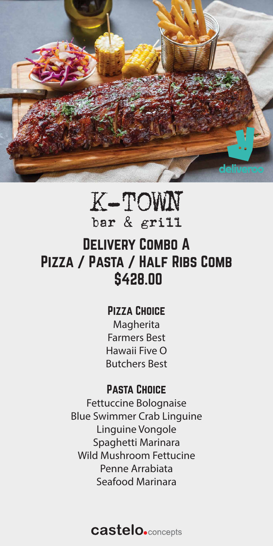

# K-TOWN bar & grill Delivery Combo A Pizza / Pasta / Half Ribs Comb \$428.00

### PIZZA CHOICE

Magherita Farmers Best Hawaii Five O Butchers Best

### Pasta Choice

Fettuccine Bolognaise Blue Swimmer Crab Linguine Linguine Vongole Spaghetti Marinara Wild Mushroom Fettucine Penne Arrabiata Seafood Marinara

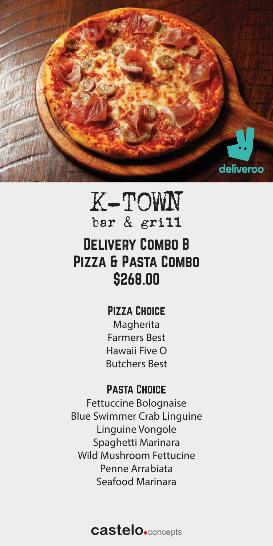# K-TOWN bar & grill Delivery Combo B PIZZA & PASTA COMBO \$268.00



### PIZZA CHOICE

Magherita Farmers Best Hawaii Five O Butchers Best

### Pasta Choice

Fettuccine Bolognaise Blue Swimmer Crab Linguine Linguine Vongole Spaghetti Marinara Wild Mushroom Fettucine Penne Arrabiata Seafood Marinara

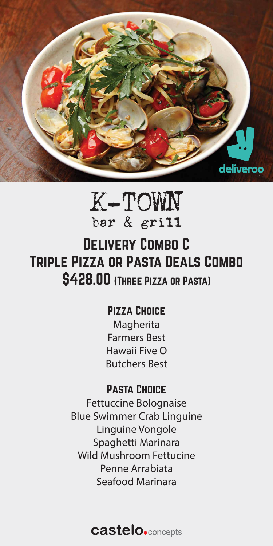# K-TOWN bar & grill Delivery Combo C Triple Pizza or Pasta Deals Combo \$428.00 (Three Pizza or Pasta)



### PIZZA CHOICE

Magherita Farmers Best Hawaii Five O Butchers Best

### Pasta Choice

Fettuccine Bolognaise Blue Swimmer Crab Linguine Linguine Vongole Spaghetti Marinara Wild Mushroom Fettucine Penne Arrabiata Seafood Marinara

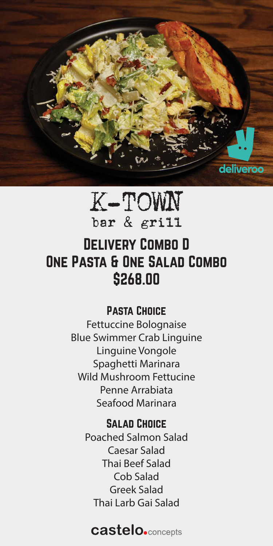# Delivery Combo D One Pasta & One Salad Combo \$268.00

# K-TOWN bar & grill



### Pasta Choice

Fettuccine Bolognaise Blue Swimmer Crab Linguine Linguine Vongole Spaghetti Marinara Wild Mushroom Fettucine Penne Arrabiata Seafood Marinara

### SALAD CHOICE

Poached Salmon Salad Caesar Salad Thai Beef Salad Cob Salad Greek Salad

### Thai Larb Gai Salad